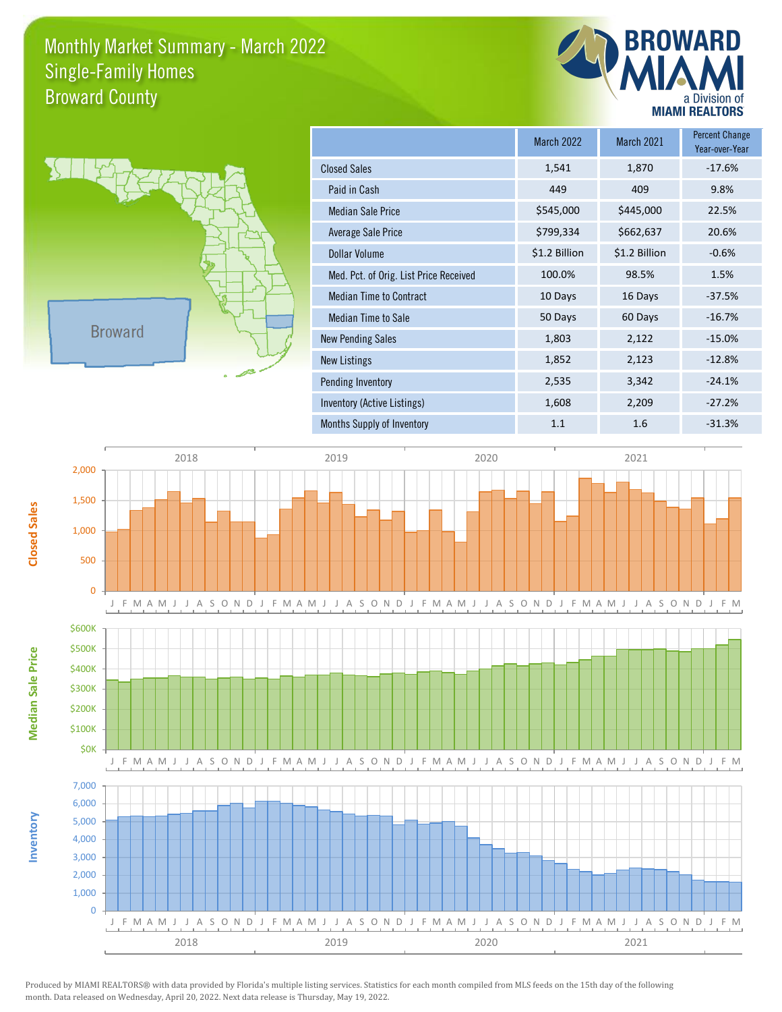## Monthly Market Summary - March 2022 Broward County Single-Family Homes





**Inventory**

**Median Sale Price**

**Median Sale Price** 

**Closed Sales**

|                                        | <b>March 2022</b> | <b>March 2021</b> | <b>Percent Change</b><br>Year-over-Year |
|----------------------------------------|-------------------|-------------------|-----------------------------------------|
| <b>Closed Sales</b>                    | 1,541             | 1,870             | $-17.6%$                                |
| Paid in Cash                           | 449               | 409               | 9.8%                                    |
| <b>Median Sale Price</b>               | \$545,000         | \$445,000         | 22.5%                                   |
| Average Sale Price                     | \$799,334         | \$662,637         | 20.6%                                   |
| <b>Dollar Volume</b>                   | \$1.2 Billion     | \$1.2 Billion     | $-0.6%$                                 |
| Med. Pct. of Orig. List Price Received | 100.0%            | 98.5%             | 1.5%                                    |
| <b>Median Time to Contract</b>         | 10 Days           | 16 Days           | $-37.5%$                                |
| Median Time to Sale                    | 50 Days           | 60 Days           | $-16.7%$                                |
| <b>New Pending Sales</b>               | 1,803             | 2,122             | $-15.0%$                                |
| <b>New Listings</b>                    | 1,852             | 2,123             | $-12.8%$                                |
| <b>Pending Inventory</b>               | 2,535             | 3,342             | $-24.1%$                                |
| Inventory (Active Listings)            | 1,608             | 2,209             | $-27.2%$                                |
| Months Supply of Inventory             | 1.1               | 1.6               | $-31.3%$                                |



Produced by MIAMI REALTORS® with data provided by Florida's multiple listing services. Statistics for each month compiled from MLS feeds on the 15th day of the following month. Data released on Wednesday, April 20, 2022. Next data release is Thursday, May 19, 2022.